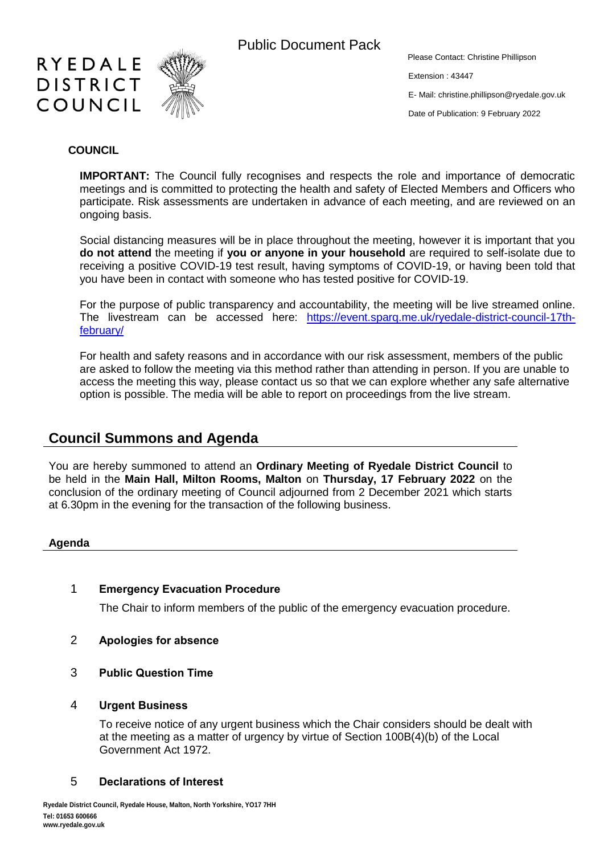

Public Document Pack

Please Contact: Christine Phillipson

Extension : 43447

E- Mail: [christine.phillipson@ryedale.gov.uk](mailto:christine.phillipson@ryedale.gov.uk)

Date of Publication: 9 February 2022

### **COUNCIL**

**IMPORTANT:** The Council fully recognises and respects the role and importance of democratic meetings and is committed to protecting the health and safety of Elected Members and Officers who participate. Risk assessments are undertaken in advance of each meeting, and are reviewed on an ongoing basis.

Social distancing measures will be in place throughout the meeting, however it is important that you **do not attend** the meeting if **you or anyone in your household** are required to self-isolate due to receiving a positive COVID-19 test result, having symptoms of COVID-19, or having been told that you have been in contact with someone who has tested positive for COVID-19.

For the purpose of public transparency and accountability, the meeting will be live streamed online. The livestream can be accessed here: [https://event.sparq.me.uk/ryedale-district-council-17th](https://event.sparq.me.uk/ryedale-district-council-17th-february/)[february/](https://event.sparq.me.uk/ryedale-district-council-17th-february/)

For health and safety reasons and in accordance with our risk assessment, members of the public are asked to follow the meeting via this method rather than attending in person. If you are unable to access the meeting this way, please contact us so that we can explore whether any safe alternative option is possible. The media will be able to report on proceedings from the live stream.

# **Council Summons and Agenda**

You are hereby summoned to attend an **Ordinary Meeting of Ryedale District Council** to be held in the **Main Hall, Milton Rooms, Malton** on **Thursday, 17 February 2022** on the conclusion of the ordinary meeting of Council adjourned from 2 December 2021 which starts at 6.30pm in the evening for the transaction of the following business.

### **Agenda**

### 1 **Emergency Evacuation Procedure**

The Chair to inform members of the public of the emergency evacuation procedure.

- 2 **Apologies for absence**
- 3 **Public Question Time**

### 4 **Urgent Business**

To receive notice of any urgent business which the Chair considers should be dealt with at the meeting as a matter of urgency by virtue of Section 100B(4)(b) of the Local Government Act 1972.

# 5 **Declarations of Interest**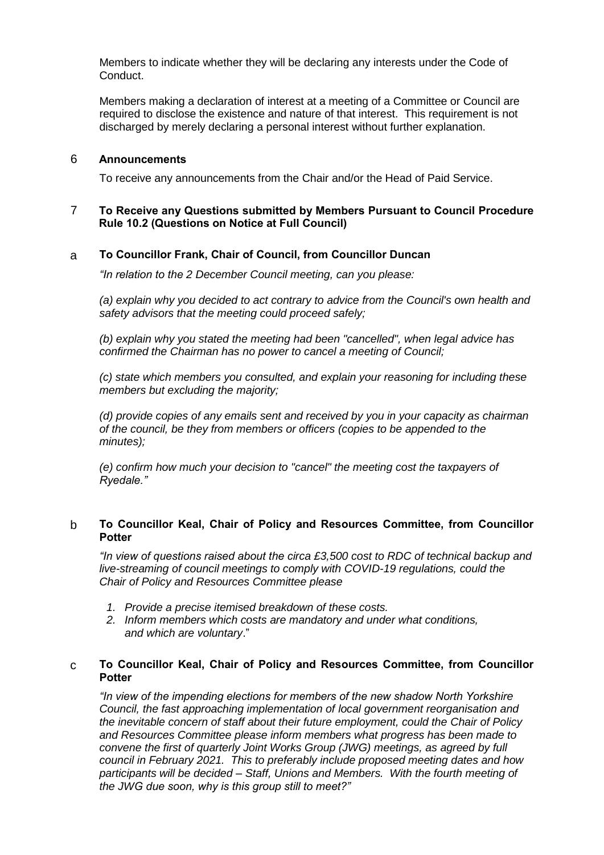Members to indicate whether they will be declaring any interests under the Code of Conduct.

Members making a declaration of interest at a meeting of a Committee or Council are required to disclose the existence and nature of that interest. This requirement is not discharged by merely declaring a personal interest without further explanation.

#### 6 **Announcements**

To receive any announcements from the Chair and/or the Head of Paid Service.

#### 7 **To Receive any Questions submitted by Members Pursuant to Council Procedure Rule 10.2 (Questions on Notice at Full Council)**

#### a **To Councillor Frank, Chair of Council, from Councillor Duncan**

*"In relation to the 2 December Council meeting, can you please:*

*(a) explain why you decided to act contrary to advice from the Council's own health and safety advisors that the meeting could proceed safely;*

*(b) explain why you stated the meeting had been "cancelled", when legal advice has confirmed the Chairman has no power to cancel a meeting of Council;*

*(c) state which members you consulted, and explain your reasoning for including these members but excluding the majority;*

*(d) provide copies of any emails sent and received by you in your capacity as chairman of the council, be they from members or officers (copies to be appended to the minutes);*

*(e) confirm how much your decision to "cancel" the meeting cost the taxpayers of Ryedale."*

### b **To Councillor Keal, Chair of Policy and Resources Committee, from Councillor Potter**

*"In view of questions raised about the circa £3,500 cost to RDC of technical backup and live-streaming of council meetings to comply with COVID-19 regulations, could the Chair of Policy and Resources Committee please* 

- *1. Provide a precise itemised breakdown of these costs.*
- *2. Inform members which costs are mandatory and under what conditions, and which are voluntary*."

### c **To Councillor Keal, Chair of Policy and Resources Committee, from Councillor Potter**

*"In view of the impending elections for members of the new shadow North Yorkshire Council, the fast approaching implementation of local government reorganisation and the inevitable concern of staff about their future employment, could the Chair of Policy and Resources Committee please inform members what progress has been made to convene the first of quarterly Joint Works Group (JWG) meetings, as agreed by full council in February 2021. This to preferably include proposed meeting dates and how participants will be decided – Staff, Unions and Members. With the fourth meeting of the JWG due soon, why is this group still to meet?"*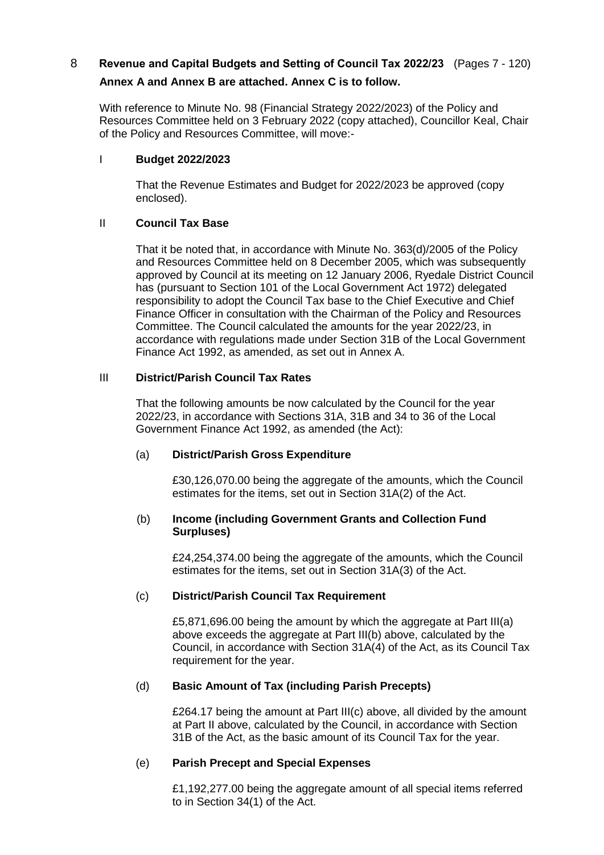# 8 **Revenue and Capital Budgets and Setting of Council Tax 2022/23** (Pages 7 - 120) **Annex A and Annex B are attached. Annex C is to follow.**

With reference to Minute No. 98 (Financial Strategy 2022/2023) of the Policy and Resources Committee held on 3 February 2022 (copy attached), Councillor Keal, Chair of the Policy and Resources Committee, will move:-

## I **Budget 2022/2023**

That the Revenue Estimates and Budget for 2022/2023 be approved (copy enclosed).

## II **Council Tax Base**

That it be noted that, in accordance with Minute No. 363(d)/2005 of the Policy and Resources Committee held on 8 December 2005, which was subsequently approved by Council at its meeting on 12 January 2006, Ryedale District Council has (pursuant to Section 101 of the Local Government Act 1972) delegated responsibility to adopt the Council Tax base to the Chief Executive and Chief Finance Officer in consultation with the Chairman of the Policy and Resources Committee. The Council calculated the amounts for the year 2022/23, in accordance with regulations made under Section 31B of the Local Government Finance Act 1992, as amended, as set out in Annex A.

## III **District/Parish Council Tax Rates**

That the following amounts be now calculated by the Council for the year 2022/23, in accordance with Sections 31A, 31B and 34 to 36 of the Local Government Finance Act 1992, as amended (the Act):

### (a) **District/Parish Gross Expenditure**

£30,126,070.00 being the aggregate of the amounts, which the Council estimates for the items, set out in Section 31A(2) of the Act.

### (b) **Income (including Government Grants and Collection Fund Surpluses)**

£24,254,374.00 being the aggregate of the amounts, which the Council estimates for the items, set out in Section 31A(3) of the Act.

### (c) **District/Parish Council Tax Requirement**

£5,871,696.00 being the amount by which the aggregate at Part III(a) above exceeds the aggregate at Part III(b) above, calculated by the Council, in accordance with Section 31A(4) of the Act, as its Council Tax requirement for the year.

### (d) **Basic Amount of Tax (including Parish Precepts)**

£264.17 being the amount at Part III(c) above, all divided by the amount at Part II above, calculated by the Council, in accordance with Section 31B of the Act, as the basic amount of its Council Tax for the year.

### (e) **Parish Precept and Special Expenses**

£1,192,277.00 being the aggregate amount of all special items referred to in Section 34(1) of the Act.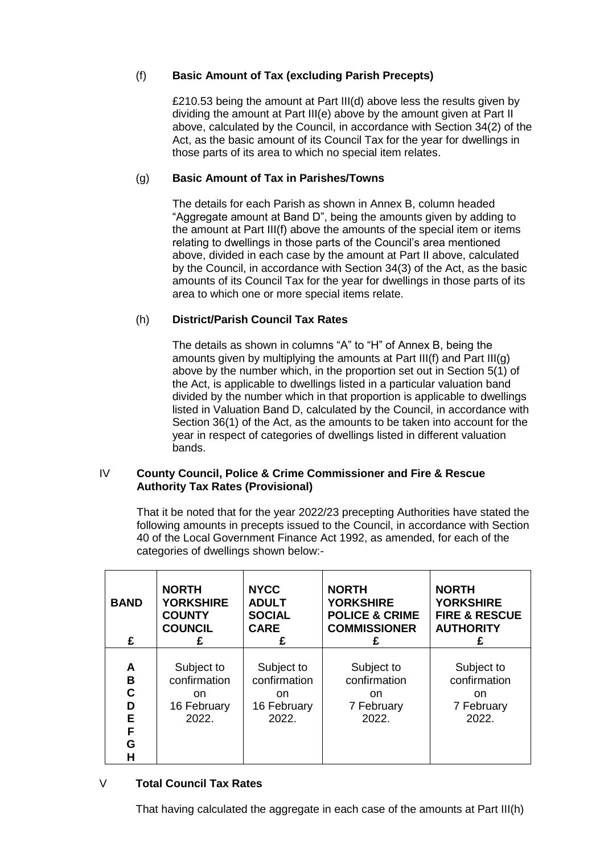# (f) **Basic Amount of Tax (excluding Parish Precepts)**

£210.53 being the amount at Part III(d) above less the results given by dividing the amount at Part III(e) above by the amount given at Part II above, calculated by the Council, in accordance with Section 34(2) of the Act, as the basic amount of its Council Tax for the year for dwellings in those parts of its area to which no special item relates.

## (g) **Basic Amount of Tax in Parishes/Towns**

The details for each Parish as shown in Annex B, column headed "Aggregate amount at Band D", being the amounts given by adding to the amount at Part III(f) above the amounts of the special item or items relating to dwellings in those parts of the Council's area mentioned above, divided in each case by the amount at Part II above, calculated by the Council, in accordance with Section 34(3) of the Act, as the basic amounts of its Council Tax for the year for dwellings in those parts of its area to which one or more special items relate.

## (h) **District/Parish Council Tax Rates**

The details as shown in columns "A" to "H" of Annex B, being the amounts given by multiplying the amounts at Part III(f) and Part III(g) above by the number which, in the proportion set out in Section 5(1) of the Act, is applicable to dwellings listed in a particular valuation band divided by the number which in that proportion is applicable to dwellings listed in Valuation Band D, calculated by the Council, in accordance with Section 36(1) of the Act, as the amounts to be taken into account for the year in respect of categories of dwellings listed in different valuation bands.

### IV **County Council, Police & Crime Commissioner and Fire & Rescue Authority Tax Rates (Provisional)**

That it be noted that for the year 2022/23 precepting Authorities have stated the following amounts in precepts issued to the Council, in accordance with Section 40 of the Local Government Finance Act 1992, as amended, for each of the categories of dwellings shown below:-

| <b>BAND</b><br>£                     | <b>NORTH</b><br><b>YORKSHIRE</b><br><b>COUNTY</b><br><b>COUNCIL</b><br>£ | <b>NYCC</b><br><b>ADULT</b><br><b>SOCIAL</b><br><b>CARE</b><br>£ | <b>NORTH</b><br><b>YORKSHIRE</b><br><b>POLICE &amp; CRIME</b><br><b>COMMISSIONER</b><br>£ | <b>NORTH</b><br><b>YORKSHIRE</b><br><b>FIRE &amp; RESCUE</b><br><b>AUTHORITY</b><br>£ |
|--------------------------------------|--------------------------------------------------------------------------|------------------------------------------------------------------|-------------------------------------------------------------------------------------------|---------------------------------------------------------------------------------------|
| A<br>B<br>C<br>D<br>Е<br>F<br>G<br>Н | Subject to<br>confirmation<br><sub>on</sub><br>16 February<br>2022.      | Subject to<br>confirmation<br>on.<br>16 February<br>2022.        | Subject to<br>confirmation<br>on.<br>7 February<br>2022.                                  | Subject to<br>confirmation<br><sub>on</sub><br>7 February<br>2022.                    |

# V **Total Council Tax Rates**

That having calculated the aggregate in each case of the amounts at Part III(h)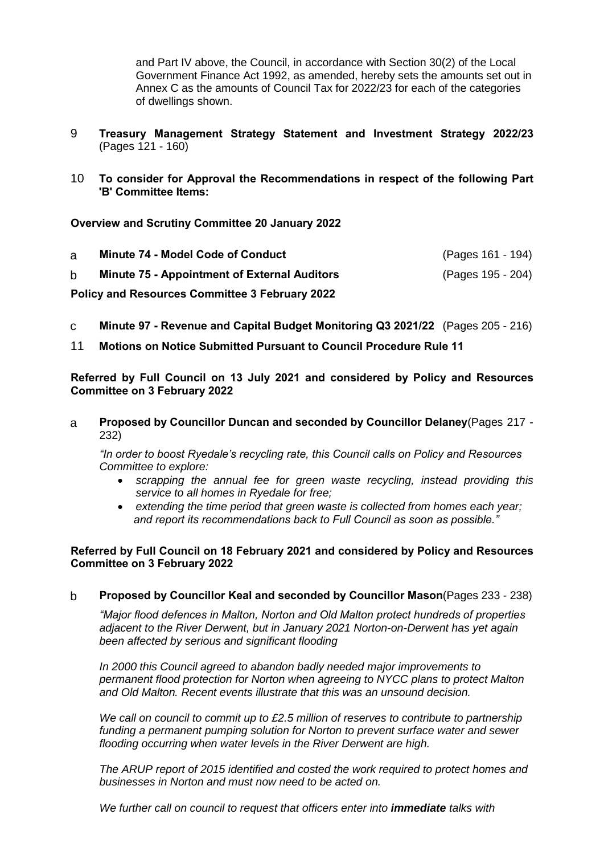and Part IV above, the Council, in accordance with Section 30(2) of the Local Government Finance Act 1992, as amended, hereby sets the amounts set out in Annex C as the amounts of Council Tax for 2022/23 for each of the categories of dwellings shown.

- 9 **Treasury Management Strategy Statement and Investment Strategy 2022/23** (Pages 121 - 160)
- 10 **To consider for Approval the Recommendations in respect of the following Part 'B' Committee Items:**

**Overview and Scrutiny Committee 20 January 2022**

| a                                                     | Minute 74 - Model Code of Conduct                   | (Pages 161 - 194) |  |
|-------------------------------------------------------|-----------------------------------------------------|-------------------|--|
| b.                                                    | <b>Minute 75 - Appointment of External Auditors</b> | (Pages 195 - 204) |  |
| <b>Policy and Resources Committee 3 February 2022</b> |                                                     |                   |  |

- c **Minute 97 - Revenue and Capital Budget Monitoring Q3 2021/22** (Pages 205 216)
- 11 **Motions on Notice Submitted Pursuant to Council Procedure Rule 11**

**Referred by Full Council on 13 July 2021 and considered by Policy and Resources Committee on 3 February 2022**

a **Proposed by Councillor Duncan and seconded by Councillor Delaney**(Pages 217 - 232)

*"In order to boost Ryedale's recycling rate, this Council calls on Policy and Resources Committee to explore:*

- *scrapping the annual fee for green waste recycling, instead providing this service to all homes in Ryedale for free;*
- *extending the time period that green waste is collected from homes each year; and report its recommendations back to Full Council as soon as possible."*

### **Referred by Full Council on 18 February 2021 and considered by Policy and Resources Committee on 3 February 2022**

b **Proposed by Councillor Keal and seconded by Councillor Mason**(Pages 233 - 238)

*"Major flood defences in Malton, Norton and Old Malton protect hundreds of properties adjacent to the River Derwent, but in January 2021 Norton-on-Derwent has yet again been affected by serious and significant flooding*

*In 2000 this Council agreed to abandon badly needed major improvements to permanent flood protection for Norton when agreeing to NYCC plans to protect Malton and Old Malton. Recent events illustrate that this was an unsound decision.*

*We call on council to commit up to £2.5 million of reserves to contribute to partnership funding a permanent pumping solution for Norton to prevent surface water and sewer flooding occurring when water levels in the River Derwent are high.*

*The ARUP report of 2015 identified and costed the work required to protect homes and businesses in Norton and must now need to be acted on.* 

*We further call on council to request that officers enter into immediate talks with*